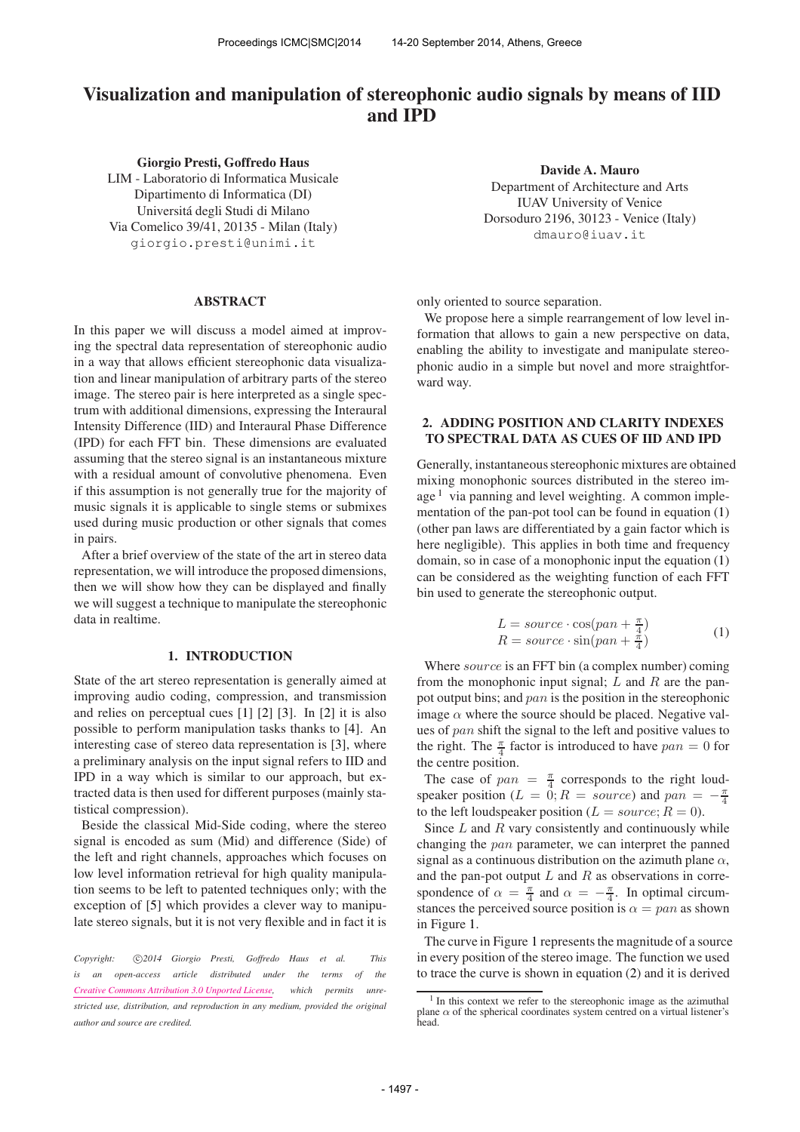# Visualization and manipulation of stereophonic audio signals by means of IID and IPD

Giorgio Presti, Goffredo Haus LIM - Laboratorio di Informatica Musicale Dipartimento di Informatica (DI) Universitá degli Studi di Milano Via Comelico 39/41, 20135 - Milan (Italy) [giorgio.presti@unimi.it](mailto:giorgio.presti@unimi.it)

#### ABSTRACT

In this paper we will discuss a model aimed at improving the spectral data representation of stereophonic audio in a way that allows efficient stereophonic data visualization and linear manipulation of arbitrary parts of the stereo image. The stereo pair is here interpreted as a single spectrum with additional dimensions, expressing the Interaural Intensity Difference (IID) and Interaural Phase Difference (IPD) for each FFT bin. These dimensions are evaluated assuming that the stereo signal is an instantaneous mixture with a residual amount of convolutive phenomena. Even if this assumption is not generally true for the majority of music signals it is applicable to single stems or submixes used during music production or other signals that comes in pairs.

After a brief overview of the state of the art in stereo data representation, we will introduce the proposed dimensions, then we will show how they can be displayed and finally we will suggest a technique to manipulate the stereophonic data in realtime.

### 1. INTRODUCTION

State of the art stereo representation is generally aimed at improving audio coding, compression, and transmission and relies on perceptual cues [1] [2] [3]. In [2] it is also possible to perform manipulation tasks thanks to [4]. An interesting case of stereo data representation is [3], where a preliminary analysis on the input signal refers to IID and IPD in a way which is similar to our approach, but extracted data is then used for different purposes (mainly statistical compression).

Beside the classical Mid-Side coding, where the stereo signal is encoded as sum (Mid) and difference (Side) of the left and right channels, approaches which focuses on low level information retrieval for high quality manipulation seems to be left to patented techniques only; with the exception of [5] which provides a clever way to manipulate stereo signals, but it is not very flexible and in fact it is

Copyright:  $\bigcirc$ 2014 Giorgio Presti, Goffredo Haus et al. This *is an open-access article distributed under the terms of the [Creative Commons Attribution 3.0 Unported License,](http://creativecommons.org/licenses/by/3.0/) which permits unrestricted use, distribution, and reproduction in any medium, provided the original author and source are credited.*

Davide A. Mauro Department of Architecture and Arts IUAV University of Venice Dorsoduro 2196, 30123 - Venice (Italy) [dmauro@iuav.it](mailto:dmauro@iuav.it)

only oriented to source separation.

We propose here a simple rearrangement of low level information that allows to gain a new perspective on data, enabling the ability to investigate and manipulate stereophonic audio in a simple but novel and more straightforward way.

## 2. ADDING POSITION AND CLARITY INDEXES TO SPECTRAL DATA AS CUES OF IID AND IPD

Generally, instantaneous stereophonic mixtures are obtained mixing monophonic sources distributed in the stereo image  $<sup>1</sup>$  via panning and level weighting. A common imple-</sup> mentation of the pan-pot tool can be found in equation (1) (other pan laws are differentiated by a gain factor which is here negligible). This applies in both time and frequency domain, so in case of a monophonic input the equation (1) can be considered as the weighting function of each FFT bin used to generate the stereophonic output.

$$
L = source \cdot \cos(pan + \frac{\pi}{4})
$$
  
\n
$$
R = source \cdot \sin(pan + \frac{\pi}{4})
$$
 (1)

Where *source* is an FFT bin (a complex number) coming from the monophonic input signal;  $L$  and  $R$  are the panpot output bins; and pan is the position in the stereophonic image  $\alpha$  where the source should be placed. Negative values of pan shift the signal to the left and positive values to the right. The  $\frac{\pi}{4}$  factor is introduced to have  $pan = 0$  for the centre position.

The case of  $pan = \frac{\pi}{4}$  corresponds to the right loudspeaker position ( $L = 0$ ;  $R = source$ ) and  $pan = -\frac{\pi}{4}$ to the left loudspeaker position ( $L = source; R = 0$ ).

Since  $L$  and  $R$  vary consistently and continuously while changing the pan parameter, we can interpret the panned signal as a continuous distribution on the azimuth plane  $\alpha$ , and the pan-pot output  $L$  and  $R$  as observations in correspondence of  $\alpha = \frac{\pi}{4}$  and  $\alpha = -\frac{\pi}{4}$ . In optimal circumstances the perceived source position is  $\alpha = pan$  as shown in Figure 1.

The curve in Figure 1 represents the magnitude of a source in every position of the stereo image. The function we used to trace the curve is shown in equation (2) and it is derived

<sup>&</sup>lt;sup>1</sup> In this context we refer to the stereophonic image as the azimuthal plane  $\alpha$  of the spherical coordinates system centred on a virtual listener's head.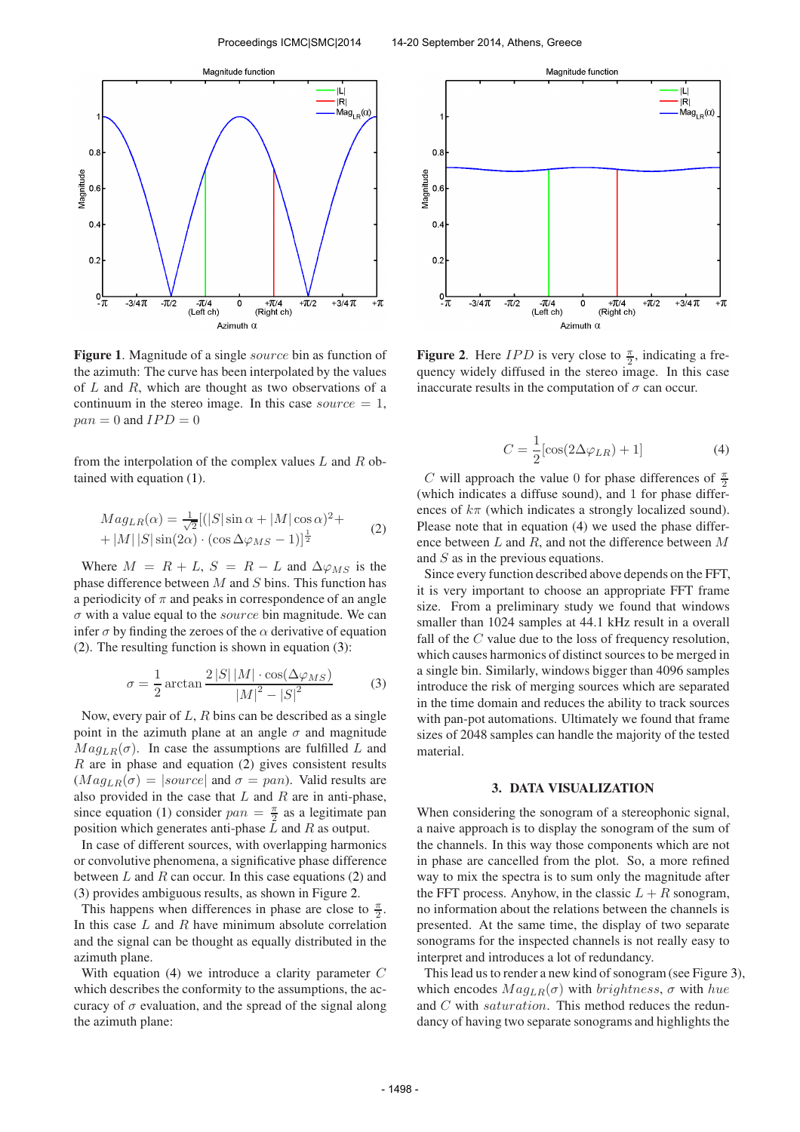

Figure 1. Magnitude of a single *source* bin as function of the azimuth: The curve has been interpolated by the values of  $L$  and  $R$ , which are thought as two observations of a continuum in the stereo image. In this case source  $= 1$ ,  $pan = 0$  and  $IPD = 0$ 

from the interpolation of the complex values  $L$  and  $R$  obtained with equation (1).

$$
Mag_{LR}(\alpha) = \frac{1}{\sqrt{2}}[(|S|\sin \alpha + |M|\cos \alpha)^{2} + |M||S|\sin(2\alpha) \cdot (\cos \Delta \varphi_{MS} - 1)]^{\frac{1}{2}}
$$
(2)

Where  $M = R + L$ ,  $S = R - L$  and  $\Delta \varphi_{MS}$  is the phase difference between  $M$  and  $S$  bins. This function has a periodicity of  $\pi$  and peaks in correspondence of an angle  $\sigma$  with a value equal to the *source* bin magnitude. We can infer  $\sigma$  by finding the zeroes of the  $\alpha$  derivative of equation (2). The resulting function is shown in equation (3):

$$
\sigma = \frac{1}{2} \arctan \frac{2|S||M| \cdot \cos(\Delta\varphi_{MS})}{|M|^2 - |S|^2} \tag{3}
$$

Now, every pair of  $L$ ,  $R$  bins can be described as a single point in the azimuth plane at an angle  $\sigma$  and magnitude  $Mag_{LR}(\sigma)$ . In case the assumptions are fulfilled L and  $R$  are in phase and equation (2) gives consistent results  $(Mag<sub>LR</sub>(\sigma) = |source|$  and  $\sigma = pan)$ . Valid results are also provided in the case that  $L$  and  $R$  are in anti-phase, since equation (1) consider  $pan = \frac{\pi}{2}$  as a legitimate pan position which generates anti-phase  $L$  and  $R$  as output.

In case of different sources, with overlapping harmonics or convolutive phenomena, a significative phase difference between  $L$  and  $R$  can occur. In this case equations (2) and (3) provides ambiguous results, as shown in Figure 2.

This happens when differences in phase are close to  $\frac{\pi}{2}$ . In this case  $L$  and  $R$  have minimum absolute correlation and the signal can be thought as equally distributed in the azimuth plane.

With equation (4) we introduce a clarity parameter C which describes the conformity to the assumptions, the accuracy of  $\sigma$  evaluation, and the spread of the signal along the azimuth plane:



Figure 2. Here  $IPD$  is very close to  $\frac{\pi}{2}$ , indicating a frequency widely diffused in the stereo image. In this case inaccurate results in the computation of  $\sigma$  can occur.

$$
C = \frac{1}{2} [\cos(2\Delta\varphi_{LR}) + 1] \tag{4}
$$

C will approach the value 0 for phase differences of  $\frac{\pi}{2}$ (which indicates a diffuse sound), and 1 for phase differences of  $k\pi$  (which indicates a strongly localized sound). Please note that in equation (4) we used the phase difference between  $L$  and  $R$ , and not the difference between  $M$ and S as in the previous equations.

Since every function described above depends on the FFT, it is very important to choose an appropriate FFT frame size. From a preliminary study we found that windows smaller than 1024 samples at 44.1 kHz result in a overall fall of the C value due to the loss of frequency resolution, which causes harmonics of distinct sources to be merged in a single bin. Similarly, windows bigger than 4096 samples introduce the risk of merging sources which are separated in the time domain and reduces the ability to track sources with pan-pot automations. Ultimately we found that frame sizes of 2048 samples can handle the majority of the tested material.

#### 3. DATA VISUALIZATION

When considering the sonogram of a stereophonic signal, a naive approach is to display the sonogram of the sum of the channels. In this way those components which are not in phase are cancelled from the plot. So, a more refined way to mix the spectra is to sum only the magnitude after the FFT process. Anyhow, in the classic  $L + R$  sonogram, no information about the relations between the channels is presented. At the same time, the display of two separate sonograms for the inspected channels is not really easy to interpret and introduces a lot of redundancy.

This lead us to render a new kind of sonogram (see Figure 3), which encodes  $Mag_{LR}(\sigma)$  with *brightness*,  $\sigma$  with *hue* and C with saturation. This method reduces the redundancy of having two separate sonograms and highlights the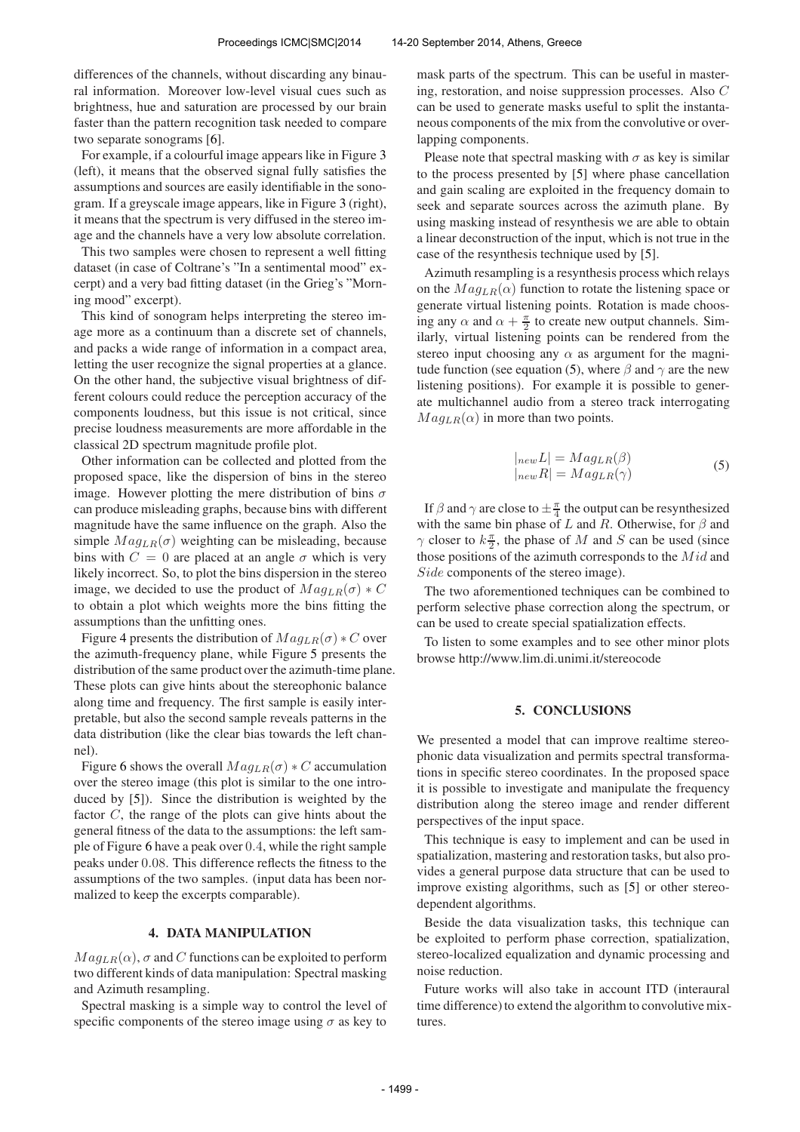differences of the channels, without discarding any binaural information. Moreover low-level visual cues such as brightness, hue and saturation are processed by our brain faster than the pattern recognition task needed to compare two separate sonograms [6].

For example, if a colourful image appears like in Figure 3 (left), it means that the observed signal fully satisfies the assumptions and sources are easily identifiable in the sonogram. If a greyscale image appears, like in Figure 3 (right), it means that the spectrum is very diffused in the stereo image and the channels have a very low absolute correlation.

This two samples were chosen to represent a well fitting dataset (in case of Coltrane's "In a sentimental mood" excerpt) and a very bad fitting dataset (in the Grieg's "Morning mood" excerpt).

This kind of sonogram helps interpreting the stereo image more as a continuum than a discrete set of channels, and packs a wide range of information in a compact area, letting the user recognize the signal properties at a glance. On the other hand, the subjective visual brightness of different colours could reduce the perception accuracy of the components loudness, but this issue is not critical, since precise loudness measurements are more affordable in the classical 2D spectrum magnitude profile plot.

Other information can be collected and plotted from the proposed space, like the dispersion of bins in the stereo image. However plotting the mere distribution of bins  $\sigma$ can produce misleading graphs, because bins with different magnitude have the same influence on the graph. Also the simple  $Mag_{LR}(\sigma)$  weighting can be misleading, because bins with  $C = 0$  are placed at an angle  $\sigma$  which is very likely incorrect. So, to plot the bins dispersion in the stereo image, we decided to use the product of  $Mag_{LR}(\sigma) * C$ to obtain a plot which weights more the bins fitting the assumptions than the unfitting ones.

Figure 4 presents the distribution of  $Mag_{LR}(\sigma) * C$  over the azimuth-frequency plane, while Figure 5 presents the distribution of the same product over the azimuth-time plane. These plots can give hints about the stereophonic balance along time and frequency. The first sample is easily interpretable, but also the second sample reveals patterns in the data distribution (like the clear bias towards the left channel).

Figure 6 shows the overall  $Mag_{LR}(\sigma) * C$  accumulation over the stereo image (this plot is similar to the one introduced by [5]). Since the distribution is weighted by the factor C, the range of the plots can give hints about the general fitness of the data to the assumptions: the left sample of Figure 6 have a peak over 0.4, while the right sample peaks under 0.08. This difference reflects the fitness to the assumptions of the two samples. (input data has been normalized to keep the excerpts comparable).

## 4. DATA MANIPULATION

 $Mag_{LR}(\alpha)$ ,  $\sigma$  and C functions can be exploited to perform two different kinds of data manipulation: Spectral masking and Azimuth resampling.

Spectral masking is a simple way to control the level of specific components of the stereo image using  $\sigma$  as key to

mask parts of the spectrum. This can be useful in mastering, restoration, and noise suppression processes. Also C can be used to generate masks useful to split the instantaneous components of the mix from the convolutive or overlapping components.

Please note that spectral masking with  $\sigma$  as key is similar to the process presented by [5] where phase cancellation and gain scaling are exploited in the frequency domain to seek and separate sources across the azimuth plane. By using masking instead of resynthesis we are able to obtain a linear deconstruction of the input, which is not true in the case of the resynthesis technique used by [5].

Azimuth resampling is a resynthesis process which relays on the  $Mag_{LR}(\alpha)$  function to rotate the listening space or generate virtual listening points. Rotation is made choosing any  $\alpha$  and  $\alpha + \frac{\pi}{2}$  to create new output channels. Similarly, virtual listening points can be rendered from the stereo input choosing any  $\alpha$  as argument for the magnitude function (see equation (5), where  $\beta$  and  $\gamma$  are the new listening positions). For example it is possible to generate multichannel audio from a stereo track interrogating  $Mag_{LR}(\alpha)$  in more than two points.

$$
|_{new}L| = Mag_{LR}(\beta)
$$
  
\n
$$
|_{new}R| = Mag_{LR}(\gamma)
$$
 (5)

If  $\beta$  and  $\gamma$  are close to  $\pm \frac{\pi}{4}$  the output can be resynthesized with the same bin phase of L and R. Otherwise, for  $\beta$  and  $\gamma$  closer to  $k\frac{\pi}{2}$ , the phase of M and S can be used (since those positions of the azimuth corresponds to the  $Mid$  and Side components of the stereo image).

The two aforementioned techniques can be combined to perform selective phase correction along the spectrum, or can be used to create special spatialization effects.

To listen to some examples and to see other minor plots browse http://www.lim.di.unimi.it/stereocode

#### 5. CONCLUSIONS

We presented a model that can improve realtime stereophonic data visualization and permits spectral transformations in specific stereo coordinates. In the proposed space it is possible to investigate and manipulate the frequency distribution along the stereo image and render different perspectives of the input space.

This technique is easy to implement and can be used in spatialization, mastering and restoration tasks, but also provides a general purpose data structure that can be used to improve existing algorithms, such as [5] or other stereodependent algorithms.

Beside the data visualization tasks, this technique can be exploited to perform phase correction, spatialization, stereo-localized equalization and dynamic processing and noise reduction.

Future works will also take in account ITD (interaural time difference) to extend the algorithm to convolutive mixtures.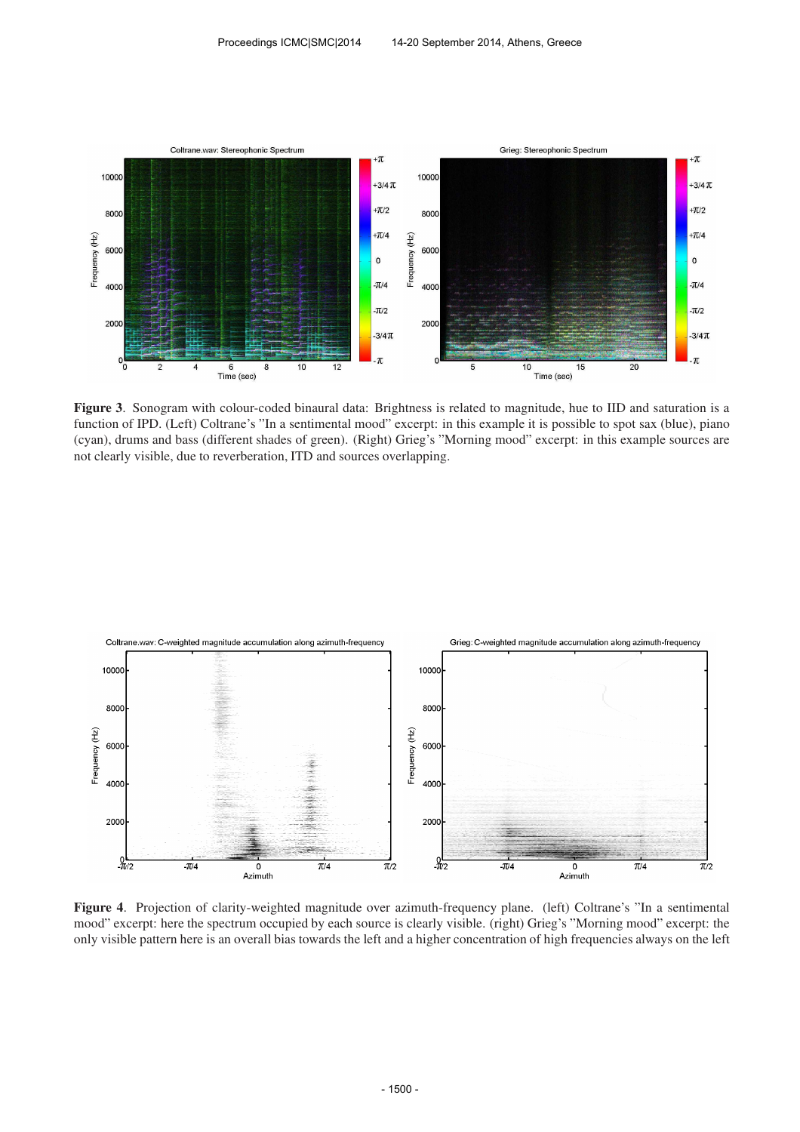

Figure 3. Sonogram with colour-coded binaural data: Brightness is related to magnitude, hue to IID and saturation is a function of IPD. (Left) Coltrane's "In a sentimental mood" excerpt: in this example it is possible to spot sax (blue), piano (cyan), drums and bass (different shades of green). (Right) Grieg's "Morning mood" excerpt: in this example sources are not clearly visible, due to reverberation, ITD and sources overlapping.



Figure 4. Projection of clarity-weighted magnitude over azimuth-frequency plane. (left) Coltrane's "In a sentimental mood" excerpt: here the spectrum occupied by each source is clearly visible. (right) Grieg's "Morning mood" excerpt: the only visible pattern here is an overall bias towards the left and a higher concentration of high frequencies always on the left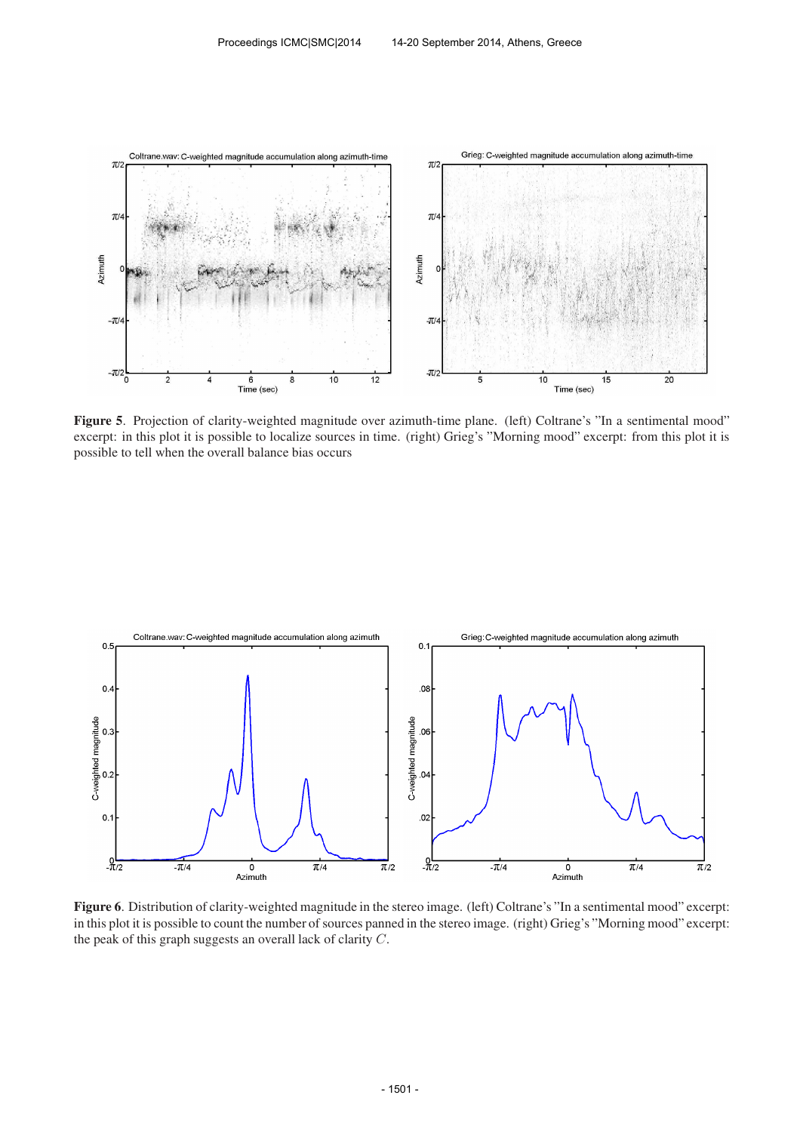

Figure 5. Projection of clarity-weighted magnitude over azimuth-time plane. (left) Coltrane's "In a sentimental mood" excerpt: in this plot it is possible to localize sources in time. (right) Grieg's "Morning mood" excerpt: from this plot it is possible to tell when the overall balance bias occurs



Figure 6. Distribution of clarity-weighted magnitude in the stereo image. (left) Coltrane's "In a sentimental mood" excerpt: in this plot it is possible to count the number of sources panned in the stereo image. (right) Grieg's "Morning mood" excerpt: the peak of this graph suggests an overall lack of clarity C.